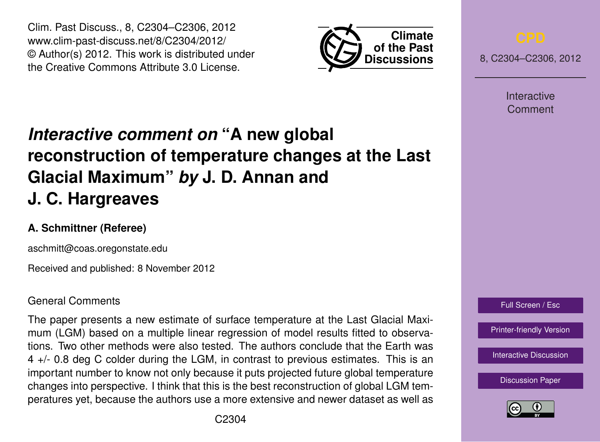Clim. Past Discuss., 8, C2304–C2306, 2012 www.clim-past-discuss.net/8/C2304/2012/ © Author(s) 2012. This work is distributed under the Creative Commons Attribute 3.0 License.



8, C2304–C2306, 2012

Interactive Comment

## *Interactive comment on* **"A new global reconstruction of temperature changes at the Last Glacial Maximum"** *by* **J. D. Annan and J. C. Hargreaves**

## **A. Schmittner (Referee)**

aschmitt@coas.oregonstate.edu

Received and published: 8 November 2012

## General Comments

The paper presents a new estimate of surface temperature at the Last Glacial Maximum (LGM) based on a multiple linear regression of model results fitted to observations. Two other methods were also tested. The authors conclude that the Earth was 4 +/- 0.8 deg C colder during the LGM, in contrast to previous estimates. This is an important number to know not only because it puts projected future global temperature changes into perspective. I think that this is the best reconstruction of global LGM temperatures yet, because the authors use a more extensive and newer dataset as well as



[Interactive Discussion](http://www.clim-past-discuss.net/8/5029/2012/cpd-8-5029-2012-discussion.html)

[Discussion Paper](http://www.clim-past-discuss.net/8/5029/2012/cpd-8-5029-2012.pdf)

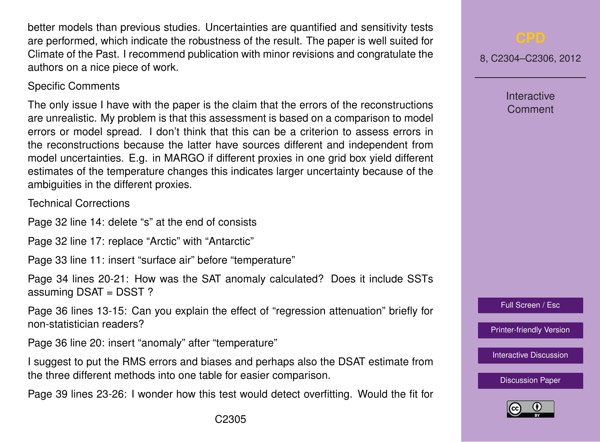better models than previous studies. Uncertainties are quantified and sensitivity tests are performed, which indicate the robustness of the result. The paper is well suited for Climate of the Past. I recommend publication with minor revisions and congratulate the authors on a nice piece of work.

## Specific Comments

The only issue I have with the paper is the claim that the errors of the reconstructions are unrealistic. My problem is that this assessment is based on a comparison to model errors or model spread. I don't think that this can be a criterion to assess errors in the reconstructions because the latter have sources different and independent from model uncertainties. E.g. in MARGO if different proxies in one grid box yield different estimates of the temperature changes this indicates larger uncertainty because of the ambiguities in the different proxies.

Technical Corrections

Page 32 line 14: delete "s" at the end of consists

Page 32 line 17: replace "Arctic" with "Antarctic"

Page 33 line 11: insert "surface air" before "temperature"

Page 34 lines 20-21: How was the SAT anomaly calculated? Does it include SSTs assuming DSAT = DSST ?

Page 36 lines 13-15: Can you explain the effect of "regression attenuation" briefly for non-statistician readers?

Page 36 line 20: insert "anomaly" after "temperature"

I suggest to put the RMS errors and biases and perhaps also the DSAT estimate from the three different methods into one table for easier comparison.

Page 39 lines 23-26: I wonder how this test would detect overfitting. Would the fit for

8, C2304–C2306, 2012

**Interactive** Comment



[Printer-friendly Version](http://www.clim-past-discuss.net/8/C2304/2012/cpd-8-C2304-2012-print.pdf)

[Interactive Discussion](http://www.clim-past-discuss.net/8/5029/2012/cpd-8-5029-2012-discussion.html)

[Discussion Paper](http://www.clim-past-discuss.net/8/5029/2012/cpd-8-5029-2012.pdf)